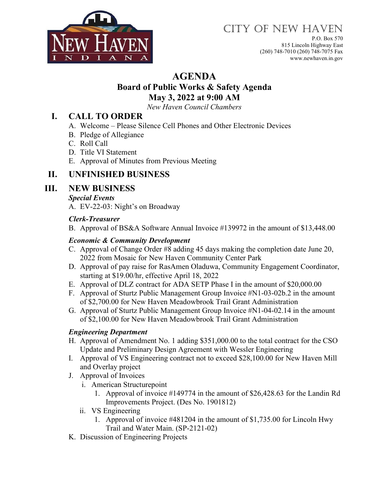

# CITY OF NEW HAVEN

P.O. Box 570 815 Lincoln Highway East (260) 748-7010 (260) 748-7075 Fax www.newhaven.in.gov

# **AGENDA**

#### **Board of Public Works & Safety Agenda May 3, 2022 at 9:00 AM**

*New Haven Council Chambers*

# **I. CALL TO ORDER**

- A. Welcome Please Silence Cell Phones and Other Electronic Devices
- B. Pledge of Allegiance
- C. Roll Call
- D. Title VI Statement
- E. Approval of Minutes from Previous Meeting

# **II. UNFINISHED BUSINESS**

# **III. NEW BUSINESS**

#### *Special Events*

A. EV-22-03: Night's on Broadway

#### *Clerk-Treasurer*

B. Approval of BS&A Software Annual Invoice #139972 in the amount of \$13,448.00

#### *Economic & Community Development*

- C. Approval of Change Order #8 adding 45 days making the completion date June 20, 2022 from Mosaic for New Haven Community Center Park
- D. Approval of pay raise for RasAmen Oladuwa, Community Engagement Coordinator, starting at \$19.00/hr, effective April 18, 2022
- E. Approval of DLZ contract for ADA SETP Phase I in the amount of \$20,000.00
- F. Approval of Sturtz Public Management Group Invoice #N1-03-02b.2 in the amount of \$2,700.00 for New Haven Meadowbrook Trail Grant Administration
- G. Approval of Sturtz Public Management Group Invoice #N1-04-02.14 in the amount of \$2,100.00 for New Haven Meadowbrook Trail Grant Administration

#### *Engineering Department*

- H. Approval of Amendment No. 1 adding \$351,000.00 to the total contract for the CSO Update and Preliminary Design Agreement with Wessler Engineering
- I. Approval of VS Engineering contract not to exceed \$28,100.00 for New Haven Mill and Overlay project
- J. Approval of Invoices
	- i. American Structurepoint
		- 1. Approval of invoice #149774 in the amount of \$26,428.63 for the Landin Rd Improvements Project. (Des No. 1901812)
	- ii. VS Engineering
		- 1. Approval of invoice #481204 in the amount of \$1,735.00 for Lincoln Hwy Trail and Water Main. (SP-2121-02)
- K. Discussion of Engineering Projects